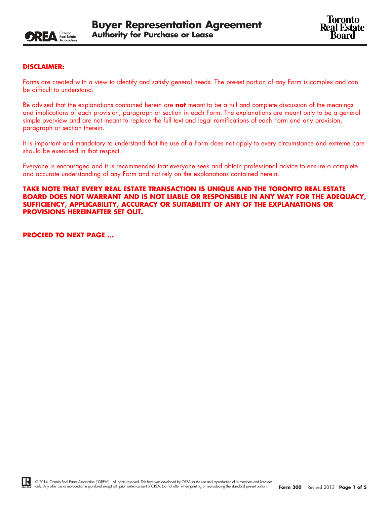

# **DISCLAIMER:**

Forms are created with a view to identify and satisfy general needs. The pre-set portion of any Form is complex and can be difficult to understand.

Be advised that the explanations contained herein are **not** meant to be a full and complete discussion of the meanings and implications of each provision, paragraph or section in each Form. The explanations are meant only to be a general simple overview and are not meant to replace the full text and legal ramifications of each Form and any provision, paragraph or section therein.

It is important and mandatory to understand that the use of a Form does not apply to every circumstance and extreme care should be exercised in that respect.

Everyone is encouraged and it is recommended that everyone seek and obtain professional advice to ensure a complete and accurate understanding of any Form and not rely on the explanations contained herein.

**TAKE NOTE THAT EVERY REAL ESTATE TRANSACTION IS UNIQUE AND THE TORONTO REAL ESTATE BOARD DOES NOT WARRANT AND IS NOT LIABLE OR RESPONSIBLE IN ANY WAY FOR THE ADEQUACY, SUFFICIENCY, APPLICABILITY, ACCURACY OR SUITABILITY OF ANY OF THE EXPLANATIONS OR PROVISIONS HEREINAFTER SET OUT.**

**PROCEED TO NEXT PAGE ...**

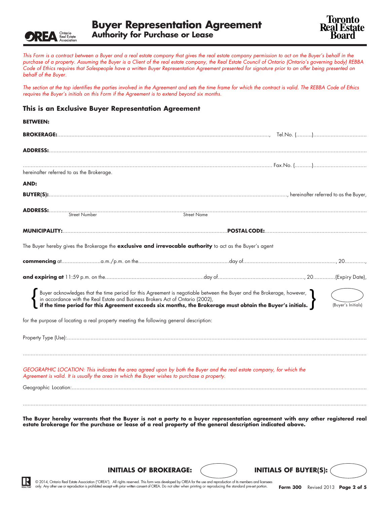

LR



*This Form is a contract between a Buyer and a real estate company that gives the real estate company permission to act on the Buyer's behalf in the purchase of a property. Assuming the Buyer is a Client of the real estate company, the Real Estate Council of Ontario (Ontario's governing body) REBBA Code of Ethics requires that Salespeople have a written Buyer Representation Agreement presented for signature prior to an offer being presented on behalf of the Buyer.*

*The section at the top identifies the parties involved in the Agreement and sets the time frame for which the contract is valid. The REBBA Code of Ethics requires the Buyer's initials on this Form if the Agreement is to extend beyond six months.*

## **This is an Exclusive Buyer Representation Agreement**

| <b>BETWEEN:</b>                                                                                                                                                                                                                         |                                                                                                                                                                                                                                                                                                                       |                    |
|-----------------------------------------------------------------------------------------------------------------------------------------------------------------------------------------------------------------------------------------|-----------------------------------------------------------------------------------------------------------------------------------------------------------------------------------------------------------------------------------------------------------------------------------------------------------------------|--------------------|
|                                                                                                                                                                                                                                         |                                                                                                                                                                                                                                                                                                                       |                    |
|                                                                                                                                                                                                                                         |                                                                                                                                                                                                                                                                                                                       |                    |
|                                                                                                                                                                                                                                         |                                                                                                                                                                                                                                                                                                                       |                    |
| hereinafter referred to as the Brokerage.                                                                                                                                                                                               |                                                                                                                                                                                                                                                                                                                       |                    |
| <b>AND:</b>                                                                                                                                                                                                                             |                                                                                                                                                                                                                                                                                                                       |                    |
|                                                                                                                                                                                                                                         |                                                                                                                                                                                                                                                                                                                       |                    |
| ADDRESS:<br>Street Number Street Number Street Name                                                                                                                                                                                     |                                                                                                                                                                                                                                                                                                                       |                    |
|                                                                                                                                                                                                                                         |                                                                                                                                                                                                                                                                                                                       |                    |
|                                                                                                                                                                                                                                         |                                                                                                                                                                                                                                                                                                                       |                    |
| The Buyer hereby gives the Brokerage the exclusive and irrevocable authority to act as the Buyer's agent                                                                                                                                |                                                                                                                                                                                                                                                                                                                       |                    |
|                                                                                                                                                                                                                                         |                                                                                                                                                                                                                                                                                                                       |                    |
|                                                                                                                                                                                                                                         |                                                                                                                                                                                                                                                                                                                       |                    |
| in accordance with the Real Estate and Business Brokers Act of Ontario (2002),                                                                                                                                                          | Buyer acknowledges that the time period for this Agreement is negotiable between the Buyer and the Brokerage, however,<br>In accordance with the Keal Estate and Business Brokers Act of Ontario (2002),<br>if the time period for this Agreement exceeds six months, the Brokerage must obtain the Buyer's initials. | (Buyer's Initials) |
| for the purpose of locating a real property meeting the following general description:                                                                                                                                                  |                                                                                                                                                                                                                                                                                                                       |                    |
|                                                                                                                                                                                                                                         |                                                                                                                                                                                                                                                                                                                       |                    |
| GEOGRAPHIC LOCATION: This indicates the area agreed upon by both the Buyer and the real estate company, for which the<br>Agreement is valid. It is usually the area in which the Buyer wishes to purchase a property.                   |                                                                                                                                                                                                                                                                                                                       |                    |
|                                                                                                                                                                                                                                         |                                                                                                                                                                                                                                                                                                                       |                    |
| The Buyer hereby warrants that the Buyer is not a party to a buyer representation agreement with any other registered real<br>estate brokerage for the purchase or lease of a real property of the general description indicated above. |                                                                                                                                                                                                                                                                                                                       |                    |

**INITIALS OF BROKERAGE:** ( INITIALS OF BUYER(S):



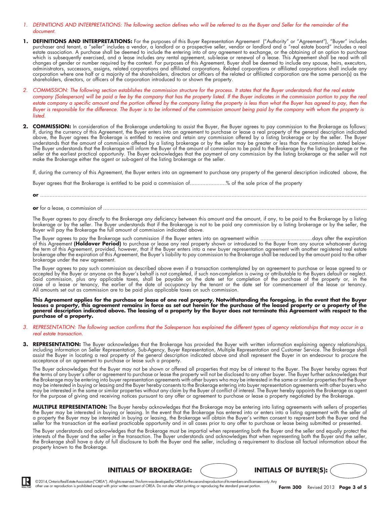- *1. DEFINITIONS AND INTERPRETATIONS: The following section defines who will be referred to as the Buyer and Seller for the remainder of the document.*
- **1. DEFINITIONS AND INTERPRETATIONS:** For the purposes of this Buyer Representation Agreement ("Authority" or "Agreement"), "Buyer" includes purchaser and tenant, a "seller" includes a vendor, a landlord or a prospective seller, vendor or landlord and a "real estate board" includes a real estate association. A purchase shall be deemed to include the entering into of any agreement to exchange, or the obtaining of an option to purchase which is subsequently exercised, and a lease includes any rental agreement, sub-lease or renewal of a lease. This Agreement shall be read with all changes of gender or number required by the context. For purposes of this Agreement, Buyer shall be deemed to include any spouse, heirs, executors, administrators, successors, assigns, related corporations and affiliated corporations. Related corporations or affiliated corporations shall include any corporation where one half or a majority of the shareholders, directors or officers of the related or affiliated corporation are the same person(s) as the shareholders, directors, or officers of the corporation introduced to or shown the property.
- *2. COMMISSION: The following section establishes the commission structure for the process. It states that the Buyer understands that the real estate company (Salesperson) will be paid a fee by the company that has the property listed. If the Buyer indicates in the commission portion to pay the real*  estate company a specific amount and the portion offered by the company listing the property is less than what the Buyer has agreed to pay, then the *Buyer is responsible for the difference. The Buyer is to be informed of the commission amount being paid by the company with whom the property is listed.*
- **2. COMMISSION:** In consideration of the Brokerage undertaking to assist the Buyer, the Buyer agrees to pay commission to the Brokerage as follows: If, during the currency of this Agreement, the Buyer enters into an agreement to purchase or lease a real property of the general description indicated above, the Buyer agrees the Brokerage is entitled to receive and retain any commission offered by a listing brokerage or by the seller. The Buyer understands that the amount of commission offered by a listing brokerage or by the seller may be greater or less than the commission stated below. The Buyer understands that the Brokerage will inform the Buyer of the amount of commission to be paid to the Brokerage by the listing brokerage or the seller at the earliest practical opportunity. The Buyer acknowledges that the payment of any commission by the listing brokerage or the seller will not make the Brokerage either the agent or sub-agent of the listing brokerage or the seller.

If, during the currency of this Agreement, the Buyer enters into an agreement to purchase any property of the general description indicated above, the

Buyer agrees that the Brokerage is entitled to be paid a commission of.......................% of the sale price of the property

**or** ................................................................................................................................................................................................................

**or** for a lease, a commission of ........................................................................................................................................................................

The Buyer agrees to pay directly to the Brokerage any deficiency between this amount and the amount, if any, to be paid to the Brokerage by a listing brokerage or by the seller. The Buyer understands that if the Brokerage is not to be paid any commission by a listing brokerage or by the seller, the Buyer will pay the Brokerage the full amount of commission indicated above.

The Buyer agrees to pay the Brokerage such commission if the Buyer enters into an agreement within .................................days after the expiration of this Agreement **(Holdover Period)** to purchase or lease any real property shown or introduced to the Buyer from any source whatsoever during the term of this Agreement, provided, however, that if the Buyer enters into a new buyer representation agreement with another registered real estate brokerage after the expiration of this Agreement, the Buyer's liability to pay commission to the Brokerage shall be reduced by the amount paid to the other brokerage under the new agreement.

The Buyer agrees to pay such commission as described above even if a transaction contemplated by an agreement to purchase or lease agreed to or accepted by the Buyer or anyone on the Buyer's behalf is not completed, if such non-completion is owing or attributable to the Buyers default or neglect. Said commission, plus any applicable taxes, shall be payable on the date set for completion of the purchase of the property or, in the case of a lease or tenancy, the earlier of the date of occupancy by the tenant or the date set for commencement of the lease or tenancy. All amounts set out as commission are to be paid plus applicable taxes on such commission.

**This Agreement applies for the purchase or lease of one real property. Notwithstanding the foregoing, in the event that the Buyer leases a property, this agreement remains in force as set out herein for the purchase of the leased property or a property of the general description indicated above. The leasing of a property by the Buyer does not terminate this Agreement with respect to the purchase of a property.**

- *3. REPRESENTATION: The following section confirms that the Salesperson has explained the different types of agency relationships that may occur in a real estate transaction.*
- **3. REPRESENTATION:** The Buyer acknowledges that the Brokerage has provided the Buyer with written information explaining agency relationships, including information on Seller Representation, Sub-Agency, Buyer Representation, Multiple Representation and Customer Service. The Brokerage shall assist the Buyer in locating a real property of the general description indicated above and shall represent the Buyer in an endeavour to procure the acceptance of an agreement to purchase or lease such a property.

The Buyer acknowledges that the Buyer may not be shown or offered all properties that may be of interest to the Buyer. The Buyer hereby agrees that the terms of any buyer's offer or agreement to purchase or lease the property will not be disclosed to any other buyer. The Buyer further acknowledges that the Brokerage may be entering into buyer representation agreements with other buyers who may be interested in the same or similar properties that the Buyer may be interested in buying or leasing and the Buyer hereby consents to the Brokerage entering into buyer representation agreements with other buyers who may be interested in the same or similar properties without any claim by the Buyer of conflict of interest. The Buyer hereby appoints the Brokerage as agent for the purpose of giving and receiving notices pursuant to any offer or agreement to purchase or lease a property negotiated by the Brokerage.

**MULTIPLE REPRESENTATION:** The Buyer hereby acknowledges that the Brokerage may be entering into listing agreements with sellers of properties the Buyer may be interested in buying or leasing. In the event that the Brokerage has entered into or enters into a listing agreement with the seller of a property the Buyer may be interested in buying or leasing, the Brokerage will obtain the Buyer's written consent to represent both the Buyer and the seller for the transaction at the earliest practicable opportunity and in all cases prior to any offer to purchase or lease being submitted or presented.

The Buyer understands and acknowledges that the Brokerage must be impartial when representing both the Buyer and the seller and equally protect the interests of the Buyer and the seller in the transaction. The Buyer understands and acknowledges that when representing both the Buyer and the seller, the Brokerage shall have a duty of full disclosure to both the Buyer and the seller, including a requirement to disclose all factual information about the property known to the Brokerage.

**INITIALS OF BROKERAGE:** ( INITIALS OF BUYER(S):





© 2014, Ontario Real Estate Association ("OREA"). All rights reserved. This form was developed by OREA for the use and reproduction of its members and licensees only. Any other use or reproduction is prohibited except with prior written consent of OREA. Do not alter when printing or reproducing the standard pre-set portion.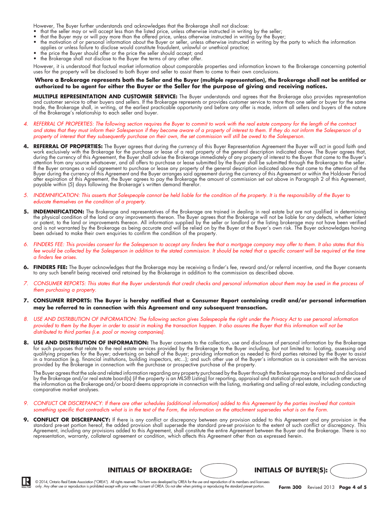However, The Buyer further understands and acknowledges that the Brokerage shall not disclose:

- that the seller may or will accept less than the listed price, unless otherwise instructed in writing by the seller;
- that the Buyer may or will pay more than the offered price, unless otherwise instructed in writing by the Buyer;
- the motivation of or personal information about the Buyer or seller, unless otherwise instructed in writing by the party to which the information applies or unless failure to disclose would constitute fraudulent, unlawful or unethical practice;
- the price the Buyer should offer or the price the seller should accept; and
- the Brokerage shall not disclose to the Buyer the terms of any other offer.

However, it is understood that factual market information about comparable properties and information known to the Brokerage concerning potential uses for the property will be disclosed to both Buyer and seller to assist them to come to their own conclusions.

#### **Where a Brokerage represents both the Seller and the Buyer (multiple representation), the Brokerage shall not be entitled or authorized to be agent for either the Buyer or the Seller for the purpose of giving and receiving notices.**

**MULTIPLE REPRESENTATION AND CUSTOMER SERVICE:** The Buyer understands and agrees that the Brokerage also provides representation and customer service to other buyers and sellers. If the Brokerage represents or provides customer service to more than one seller or buyer for the same trade, the Brokerage shall, in writing, at the earliest practicable opportunity and before any offer is made, inform all sellers and buyers of the nature of the Brokerage's relationship to each seller and buyer.

- *4. REFERRAL OF PROPERTIES: The following section requires the Buyer to commit to work with the real estate company for the length of the contract*  and states that they must inform their Salesperson if they become aware of a property of interest to them. If they do not inform the Salesperson of a *property of interest that they subsequently purchase on their own, the set commission will still be owed to the Salesperson.*
- **4. REFERRAL OF PROPERTIES:** The Buyer agrees that during the currency of this Buyer Representation Agreement the Buyer will act in good faith and work exclusively with the Brokerage for the purchase or lease of a real property of the general description indicated above. The Buyer agrees that, during the currency of this Agreement, the Buyer shall advise the Brokerage immediately of any property of interest to the Buyer that came to the Buyer's attention from any source whatsoever, and all offers to purchase or lease submitted by the Buyer shall be submitted through the Brokerage to the seller. If the Buyer arranges a valid agreement to purchase or lease any property of the general description indicated above that came to the attention of the Buyer during the currency of this Agreement and the Buyer arranges said agreement during the currency of this Agreement or within the Holdover Period after expiration of this Agreement, the Buyer agrees to pay the Brokerage the amount of commission set out above in Paragraph 2 of this Agreement, payable within (5) days following the Brokerage's written demand therefor.
- *5. INDEMNIFICATION: This asserts that Salespeople cannot be held liable for the condition of the property. It is the responsibility of the Buyer to educate themselves on the condition of a property.*
- **5. INDEMNIFICATION:** The Brokerage and representatives of the Brokerage are trained in dealing in real estate but are not qualified in determining the physical condition of the land or any improvements thereon. The Buyer agrees that the Brokerage will not be liable for any defects, whether latent or patent, to the land or improvements thereon. All information supplied by the seller or landlord or the listing brokerage may not have been verified and is not warranted by the Brokerage as being accurate and will be relied on by the Buyer at the Buyer's own risk. The Buyer acknowledges having been advised to make their own enquiries to confirm the condition of the property.
- *6. FINDERS FEE: This provides consent for the Salesperson to accept any finders fee that a mortgage company may offer to them. It also states that this*  fee would be collected by the Salesperson in addition to the stated commission. It should be noted that a specific consent will be required at the time *a finders fee arises.*
- **6. FINDERS FEE:** The Buyer acknowledges that the Brokerage may be receiving a finder's fee, reward and/or referral incentive, and the Buyer consents to any such benefit being received and retained by the Brokerage in addition to the commission as described above.
- *7. CONSUMER REPORTS: This states that the Buyer understands that credit checks and personal information about them may be used in the process of them purchasing a property.*
- **7. CONSUMER REPORTS: The Buyer is hereby notified that a Consumer Report containing credit and/or personal information may be referred to in connection with this Agreement and any subsequent transaction.**
- *8. USE AND DISTRIBUTION OF INFORMATION: The following section gives Salespeople the right under the Privacy Act to use personal information provided to them by the Buyer in order to assist in making the transaction happen. It also assures the Buyer that this information will not be distributed to third parties (i.e. pool or moving companies).*
- **USE AND DISTRIBUTION OF INFORMATION:** The Buyer consents to the collection, use and disclosure of personal information by the Brokerage for such purposes that relate to the real estate services provided by the Brokerage to the Buyer including, but not limited to: locating, assessing and qualifying properties for the Buyer; advertising on behalf of the Buyer; providing information as needed to third parties retained by the Buyer to assist in a transaction (e.g. financial institutions, building inspectors, etc...); and such other use of the Buyer's information as is consistent with the services provided by the Brokerage in connection with the purchase or prospective purchase of the property.

The Buyer agrees that the sale and related information regarding any property purchased by the Buyer through the Brokerage may be retained and disclosed by the Brokerage and/or real estate board(s) (if the property is an MLS® Listing) for reporting, appraisal and statistical purposes and for such other use of the information as the Brokerage and/or board deems appropriate in connection with the listing, marketing and selling of real estate, including conducting comparative market analyses.

- *9. CONFLICT OR DISCREPANCY: If there are other schedules (additional information) added to this Agreement by the parties involved that contain something specific that contradicts what is in the text of the Form, the information on the attachment supersedes what is on the Form.*
- **9. CONFLICT OR DISCREPANCY:** If there is any conflict or discrepancy between any provision added to this Agreement and any provision in the standard pre-set portion hereof, the added provision shall supersede the standard pre-set provision to the extent of such conflict or discrepancy. This Agreement, including any provisions added to this Agreement, shall constitute the entire Agreement between the Buyer and the Brokerage. There is no representation, warranty, collateral agreement or condition, which affects this Agreement other than as expressed herein.

**INITIALS OF BROKERAGE:** ( INITIALS OF BUYER(S):





© 2014, Ontario Real Estate Association ("OREA"). All rights reserved. This form was developed by OREA for the use and reproduction of its members and licensees only. Any other use or reproduction is prohibited except with prior written consent of OREA. Do not alter when printing or reproducing the standard pre-set portion.

**Form 300** Revised 2013 **Page 4 of 5**